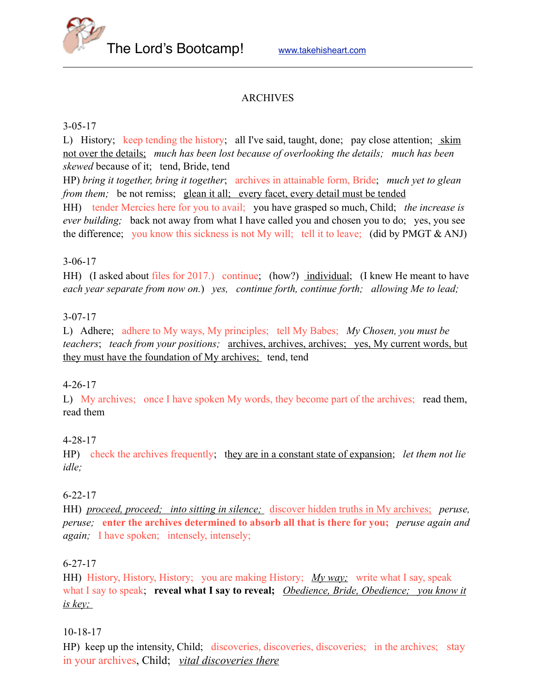The Lord's Bootcamp! [www.takehisheart.com](http://www.takehisheart.com)

# ARCHIVES

#### 3-05-17

L) History; keep tending the history; all I've said, taught, done; pay close attention; skim not over the details; *much has been lost because of overlooking the details; much has been skewed* because of it; tend, Bride, tend

HP) *bring it together, bring it together*; archives in attainable form, Bride; *much yet to glean from them;* be not remiss; glean it all; every facet, every detail must be tended

HH) tender Mercies here for you to avail; you have grasped so much, Child; *the increase is ever building;* back not away from what I have called you and chosen you to do; yes, you see the difference; you know this sickness is not My will; tell it to leave; (did by PMGT & ANJ)

### 3-06-17

HH) (I asked about files for 2017.) continue; (how?) individual; (I knew He meant to have *each year separate from now on.*) *yes, continue forth, continue forth; allowing Me to lead;* 

### 3-07-17

L) Adhere; adhere to My ways, My principles; tell My Babes; *My Chosen, you must be teachers*; *teach from your positions;* archives, archives, archives; yes, My current words, but they must have the foundation of My archives; tend, tend

# 4-26-17

L) My archives; once I have spoken My words, they become part of the archives; read them, read them

# 4-28-17

HP) check the archives frequently; they are in a constant state of expansion; *let them not lie idle;*

#### 6-22-17

HH) *proceed, proceed; into sitting in silence;* discover hidden truths in My archives; *peruse, peruse;* **enter the archives determined to absorb all that is there for you;** *peruse again and again;* I have spoken; intensely, intensely;

#### 6-27-17

HH) History, History, History; you are making History; *My way;* write what I say, speak what I say to speak; **reveal what I say to reveal;** *Obedience, Bride, Obedience; you know it is key;* 

# 10-18-17

HP) keep up the intensity, Child; discoveries, discoveries, discoveries; in the archives; stay in your archives, Child; *vital discoveries there*